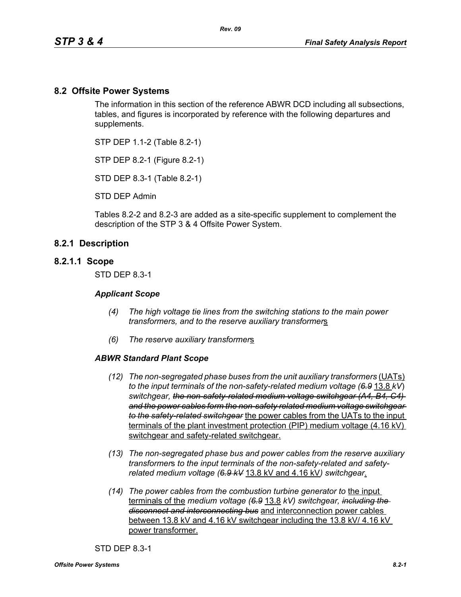### **8.2 Offsite Power Systems**

The information in this section of the reference ABWR DCD including all subsections, tables, and figures is incorporated by reference with the following departures and supplements.

STP DEP 1.1-2 (Table 8.2-1)

STP DEP 8.2-1 (Figure 8.2-1)

STD DEP 8.3-1 (Table 8.2-1)

STD DEP Admin

Tables 8.2-2 and 8.2-3 are added as a site-specific supplement to complement the description of the STP 3 & 4 Offsite Power System.

### **8.2.1 Description**

#### **8.2.1.1 Scope**

STD DEP 8.3-1

#### *Applicant Scope*

- *(4) The high voltage tie lines from the switching stations to the main power transformers, and to the reserve auxiliary transformer*s
- *(6) The reserve auxiliary transformer*s

#### *ABWR Standard Plant Scope*

- *(12) The non-segregated phase buses from the unit auxiliary transformers (UATs) to the input terminals of the non-safety-related medium voltage (6.9* 13.8 *kV*) *switchgear, the non-safety-related medium voltage switchgear (A4, B4, C4) and the power cables form the non-safety related medium voltage switchgear to the safety-related switchgear* the power cables from the UATs to the input terminals of the plant investment protection (PIP) medium voltage (4.16 kV) switchgear and safety-related switchgear.
- *(13) The non-segregated phase bus and power cables from the reserve auxiliary transformer*s *to the input terminals of the non-safety-related and safetyrelated medium voltage (6.9 kV* 13.8 kV and 4.16 kV*) switchgear*.
- *(14) The power cables from the combustion turbine generator to* the input terminals of the *medium voltage (6.9* 13.8 *kV) switchgear, including the disconnect and interconnecting bus* and interconnection power cables between 13.8 kV and 4.16 kV switchgear including the 13.8 kV/ 4.16 kV power transformer.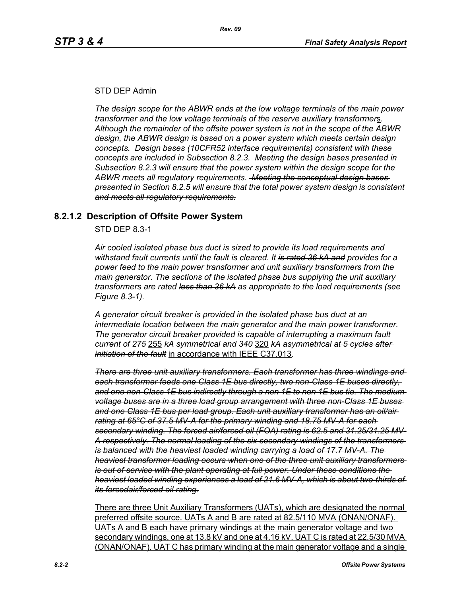### STD DEP Admin

*The design scope for the ABWR ends at the low voltage terminals of the main power transformer and the low voltage terminals of the reserve auxiliary transformer*s*. Although the remainder of the offsite power system is not in the scope of the ABWR design, the ABWR design is based on a power system which meets certain design concepts. Design bases (10CFR52 interface requirements) consistent with these concepts are included in Subsection 8.2.3. Meeting the design bases presented in Subsection 8.2.3 will ensure that the power system within the design scope for the ABWR meets all regulatory requirements. Meeting the conceptual design bases presented in Section 8.2.5 will ensure that the total power system design is consistent and meets all regulatory requirements.*

# **8.2.1.2 Description of Offsite Power System**

STD DEP 8.3-1

*Air cooled isolated phase bus duct is sized to provide its load requirements and withstand fault currents until the fault is cleared. It is rated 36 kA and provides for a power feed to the main power transformer and unit auxiliary transformers from the main generator. The sections of the isolated phase bus supplying the unit auxiliary transformers are rated less than 36 kA as appropriate to the load requirements (see Figure 8.3-1).* 

*A generator circuit breaker is provided in the isolated phase bus duct at an intermediate location between the main generator and the main power transformer. The generator circuit breaker provided is capable of interrupting a maximum fault current of 275* 255 *kA symmetrical and 340* 320 *kA asymmetrical at 5 cycles after initiation of the fault* in accordance with IEEE C37.013*.*

*There are three unit auxiliary transformers. Each transformer has three windings and each transformer feeds one Class 1E bus directly, two non-Class 1E buses directly, and one non-Class 1E bus indirectly through a non 1E to non 1E bus tie. The medium voltage buses are in a three load group arrangement with three non-Class 1E buses and one Class 1E bus per load group. Each unit auxiliary transformer has an oil/air rating at 65°C of 37.5 MV-A for the primary winding and 18.75 MV-A for each secondary winding. The forced air/forced oil (FOA) rating is 62.5 and 31.25/31.25 MV-A respectively. The normal loading of the six secondary windings of the transformers is balanced with the heaviest loaded winding carrying a load of 17.7 MV-A. The heaviest transformer loading occurs when one of the three unit auxiliary transformers is out of service with the plant operating at full power. Under these conditions the heaviest loaded winding experiences a load of 21.6 MV-A, which is about two-thirds of its forcedair/forced oil rating.*

There are three Unit Auxiliary Transformers (UATs), which are designated the normal preferred offsite source. UATs A and B are rated at 82.5/110 MVA (ONAN/ONAF). UATs A and B each have primary windings at the main generator voltage and two secondary windings, one at 13.8 kV and one at 4.16 kV. UAT C is rated at 22.5/30 MVA (ONAN/ONAF). UAT C has primary winding at the main generator voltage and a single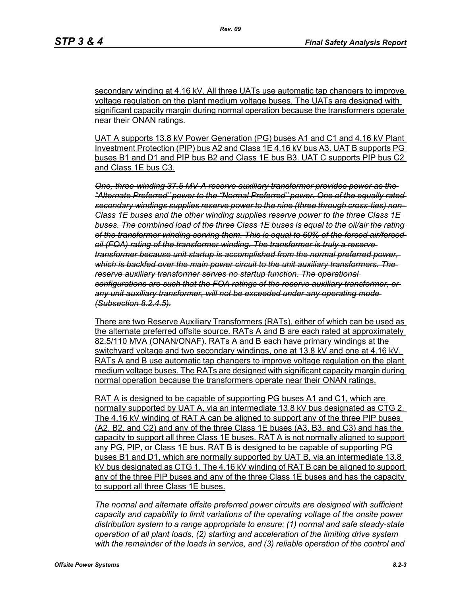secondary winding at 4.16 kV. All three UATs use automatic tap changers to improve voltage regulation on the plant medium voltage buses. The UATs are designed with significant capacity margin during normal operation because the transformers operate near their ONAN ratings.

*Rev. 09*

UAT A supports 13.8 kV Power Generation (PG) buses A1 and C1 and 4.16 kV Plant Investment Protection (PIP) bus A2 and Class 1E 4.16 kV bus A3. UAT B supports PG buses B1 and D1 and PIP bus B2 and Class 1E bus B3. UAT C supports PIP bus C2 and Class 1E bus C3.

*One, three-winding 37.5 MV-A reserve auxiliary transformer provides power as the "Alternate Preferred" power to the "Normal Preferred" power. One of the equally rated secondary windings supplies reserve power to the nine (three through cross-ties) non-Class 1E buses and the other winding supplies reserve power to the three Class 1E buses. The combined load of the three Class 1E buses is equal to the oil/air the rating of the transformer winding serving them. This is equal to 60% of the forced air/forced oil (FOA) rating of the transformer winding. The transformer is truly a reserve transformer because unit startup is accomplished from the normal preferred power, which is backfed over the main power circuit to the unit auxiliary transformers. The reserve auxiliary transformer serves no startup function. The operational configurations are such that the FOA ratings of the reserve auxiliary transformer, or any unit auxiliary transformer, will not be exceeded under any operating mode (Subsection 8.2.4.5).*

There are two Reserve Auxiliary Transformers (RATs), either of which can be used as the alternate preferred offsite source. RATs A and B are each rated at approximately 82.5/110 MVA (ONAN/ONAF). RATs A and B each have primary windings at the switchyard voltage and two secondary windings, one at 13.8 kV and one at 4.16 kV. RATs A and B use automatic tap changers to improve voltage regulation on the plant medium voltage buses. The RATs are designed with significant capacity margin during normal operation because the transformers operate near their ONAN ratings.

RAT A is designed to be capable of supporting PG buses A1 and C1, which are normally supported by UAT A, via an intermediate 13.8 kV bus designated as CTG 2. The 4.16 kV winding of RAT A can be aligned to support any of the three PIP buses (A2, B2, and C2) and any of the three Class 1E buses (A3, B3, and C3) and has the capacity to support all three Class 1E buses. RAT A is not normally aligned to support any PG, PIP, or Class 1E bus. RAT B is designed to be capable of supporting PG buses B1 and D1, which are normally supported by UAT B, via an intermediate 13.8 kV bus designated as CTG 1. The 4.16 kV winding of RAT B can be aligned to support any of the three PIP buses and any of the three Class 1E buses and has the capacity to support all three Class 1E buses.

*The normal and alternate offsite preferred power circuits are designed with sufficient capacity and capability to limit variations of the operating voltage of the onsite power distribution system to a range appropriate to ensure: (1) normal and safe steady-state operation of all plant loads, (2) starting and acceleration of the limiting drive system with the remainder of the loads in service, and (3) reliable operation of the control and*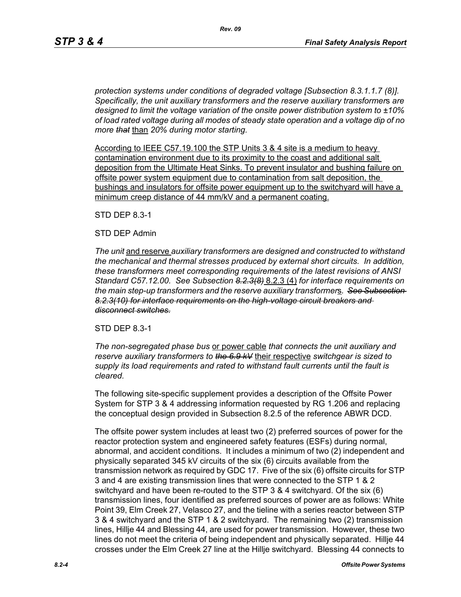*protection systems under conditions of degraded voltage [Subsection 8.3.1.1.7 (8)]. Specifically, the unit auxiliary transformers and the reserve auxiliary transformer*s *are designed to limit the voltage variation of the onsite power distribution system to ±10% of load rated voltage during all modes of steady state operation and a voltage dip of no more that* than *20% during motor starting.*

According to IEEE C57.19.100 the STP Units 3 & 4 site is a medium to heavy contamination environment due to its proximity to the coast and additional salt deposition from the Ultimate Heat Sinks. To prevent insulator and bushing failure on offsite power system equipment due to contamination from salt deposition, the bushings and insulators for offsite power equipment up to the switchyard will have a minimum creep distance of 44 mm/kV and a permanent coating.

STD DEP 8.3-1

### STD DEP Admin

*The unit* and reserve *auxiliary transformers are designed and constructed to withstand the mechanical and thermal stresses produced by external short circuits. In addition, these transformers meet corresponding requirements of the latest revisions of ANSI Standard C57.12.00. See Subsection 8.2.3(8)* 8.2.3 (4) *for interface requirements on the main step-up transformers and the reserve auxiliary transformer*s*. See Subsection 8.2.3(10) for interface requirements on the high-voltage circuit breakers and disconnect switches.*

### STD DEP 8.3-1

*The non-segregated phase bus* or power cable *that connects the unit auxiliary and reserve auxiliary transformers to the 6.9 kV* their respective *switchgear is sized to supply its load requirements and rated to withstand fault currents until the fault is cleared.*

The following site-specific supplement provides a description of the Offsite Power System for STP 3 & 4 addressing information requested by RG 1.206 and replacing the conceptual design provided in Subsection 8.2.5 of the reference ABWR DCD.

The offsite power system includes at least two (2) preferred sources of power for the reactor protection system and engineered safety features (ESFs) during normal, abnormal, and accident conditions. It includes a minimum of two (2) independent and physically separated 345 kV circuits of the six (6) circuits available from the transmission network as required by GDC 17. Five of the six (6) offsite circuits for STP 3 and 4 are existing transmission lines that were connected to the STP 1 & 2 switchyard and have been re-routed to the STP 3 & 4 switchyard. Of the six (6) transmission lines, four identified as preferred sources of power are as follows: White Point 39, Elm Creek 27, Velasco 27, and the tieline with a series reactor between STP 3 & 4 switchyard and the STP 1 & 2 switchyard. The remaining two (2) transmission lines, Hillje 44 and Blessing 44, are used for power transmission. However, these two lines do not meet the criteria of being independent and physically separated. Hillje 44 crosses under the Elm Creek 27 line at the Hillje switchyard. Blessing 44 connects to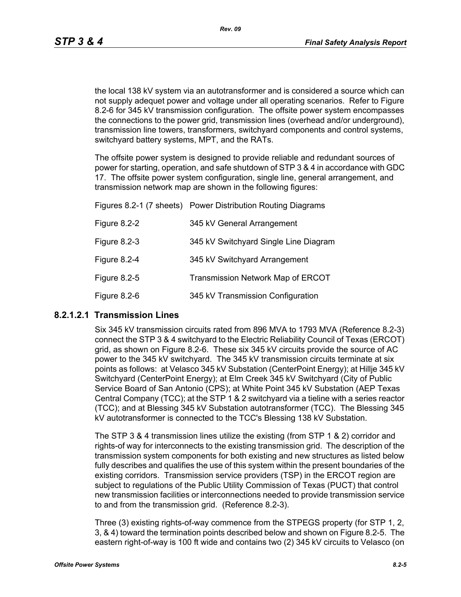the local 138 kV system via an autotransformer and is considered a source which can not supply adequet power and voltage under all operating scenarios. Refer to Figure 8.2-6 for 345 kV transmission configuration. The offsite power system encompasses the connections to the power grid, transmission lines (overhead and/or underground), transmission line towers, transformers, switchyard components and control systems, switchyard battery systems, MPT, and the RATs.

The offsite power system is designed to provide reliable and redundant sources of power for starting, operation, and safe shutdown of STP 3 & 4 in accordance with GDC 17. The offsite power system configuration, single line, general arrangement, and transmission network map are shown in the following figures:

|              | Figures 8.2-1 (7 sheets) Power Distribution Routing Diagrams |
|--------------|--------------------------------------------------------------|
| Figure 8.2-2 | 345 kV General Arrangement                                   |
| Figure 8.2-3 | 345 kV Switchyard Single Line Diagram                        |
| Figure 8.2-4 | 345 kV Switchyard Arrangement                                |
| Figure 8.2-5 | <b>Transmission Network Map of ERCOT</b>                     |
| Figure 8.2-6 | 345 kV Transmission Configuration                            |

### **8.2.1.2.1 Transmission Lines**

Six 345 kV transmission circuits rated from 896 MVA to 1793 MVA (Reference 8.2-3) connect the STP 3 & 4 switchyard to the Electric Reliability Council of Texas (ERCOT) grid, as shown on Figure 8.2-6. These six 345 kV circuits provide the source of AC power to the 345 kV switchyard. The 345 kV transmission circuits terminate at six points as follows: at Velasco 345 kV Substation (CenterPoint Energy); at Hillje 345 kV Switchyard (CenterPoint Energy); at Elm Creek 345 kV Switchyard (City of Public Service Board of San Antonio (CPS); at White Point 345 kV Substation (AEP Texas Central Company (TCC); at the STP 1 & 2 switchyard via a tieline with a series reactor (TCC); and at Blessing 345 kV Substation autotransformer (TCC). The Blessing 345 kV autotransformer is connected to the TCC's Blessing 138 kV Substation.

The STP 3 & 4 transmission lines utilize the existing (from STP 1 & 2) corridor and rights-of way for interconnects to the existing transmission grid. The description of the transmission system components for both existing and new structures as listed below fully describes and qualifies the use of this system within the present boundaries of the existing corridors. Transmission service providers (TSP) in the ERCOT region are subject to regulations of the Public Utility Commission of Texas (PUCT) that control new transmission facilities or interconnections needed to provide transmission service to and from the transmission grid. (Reference 8.2-3).

Three (3) existing rights-of-way commence from the STPEGS property (for STP 1, 2, 3, & 4) toward the termination points described below and shown on Figure 8.2-5. The eastern right-of-way is 100 ft wide and contains two (2) 345 kV circuits to Velasco (on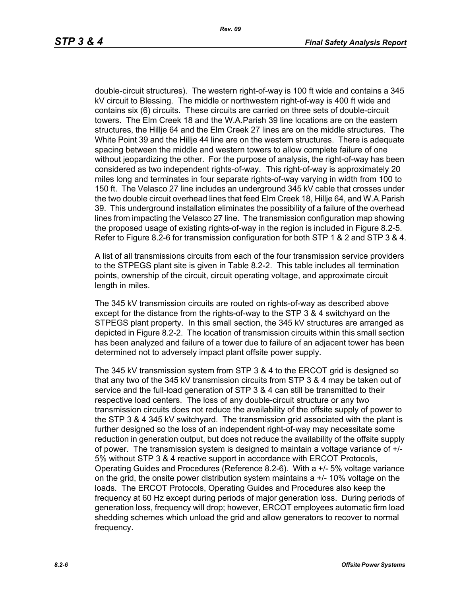double-circuit structures). The western right-of-way is 100 ft wide and contains a 345 kV circuit to Blessing. The middle or northwestern right-of-way is 400 ft wide and contains six (6) circuits. These circuits are carried on three sets of double-circuit towers. The Elm Creek 18 and the W.A.Parish 39 line locations are on the eastern structures, the Hillje 64 and the Elm Creek 27 lines are on the middle structures. The White Point 39 and the Hillje 44 line are on the western structures. There is adequate spacing between the middle and western towers to allow complete failure of one without jeopardizing the other. For the purpose of analysis, the right-of-way has been considered as two independent rights-of-way. This right-of-way is approximately 20 miles long and terminates in four separate rights-of-way varying in width from 100 to 150 ft. The Velasco 27 line includes an underground 345 kV cable that crosses under the two double circuit overhead lines that feed Elm Creek 18, Hillje 64, and W.A.Parish 39. This underground installation eliminates the possibility of a failure of the overhead lines from impacting the Velasco 27 line. The transmission configuration map showing the proposed usage of existing rights-of-way in the region is included in Figure 8.2-5. Refer to Figure 8.2-6 for transmission configuration for both STP 1 & 2 and STP 3 & 4.

A list of all transmissions circuits from each of the four transmission service providers to the STPEGS plant site is given in Table 8.2-2. This table includes all termination points, ownership of the circuit, circuit operating voltage, and approximate circuit length in miles.

The 345 kV transmission circuits are routed on rights-of-way as described above except for the distance from the rights-of-way to the STP 3 & 4 switchyard on the STPEGS plant property. In this small section, the 345 kV structures are arranged as depicted in Figure 8.2-2. The location of transmission circuits within this small section has been analyzed and failure of a tower due to failure of an adjacent tower has been determined not to adversely impact plant offsite power supply.

The 345 kV transmission system from STP 3 & 4 to the ERCOT grid is designed so that any two of the 345 kV transmission circuits from STP 3 & 4 may be taken out of service and the full-load generation of STP 3 & 4 can still be transmitted to their respective load centers. The loss of any double-circuit structure or any two transmission circuits does not reduce the availability of the offsite supply of power to the STP 3 & 4 345 kV switchyard. The transmission grid associated with the plant is further designed so the loss of an independent right-of-way may necessitate some reduction in generation output, but does not reduce the availability of the offsite supply of power. The transmission system is designed to maintain a voltage variance of +/- 5% without STP 3 & 4 reactive support in accordance with ERCOT Protocols, Operating Guides and Procedures (Reference 8.2-6). With a +/- 5% voltage variance on the grid, the onsite power distribution system maintains a +/- 10% voltage on the loads. The ERCOT Protocols, Operating Guides and Procedures also keep the frequency at 60 Hz except during periods of major generation loss. During periods of generation loss, frequency will drop; however, ERCOT employees automatic firm load shedding schemes which unload the grid and allow generators to recover to normal frequency.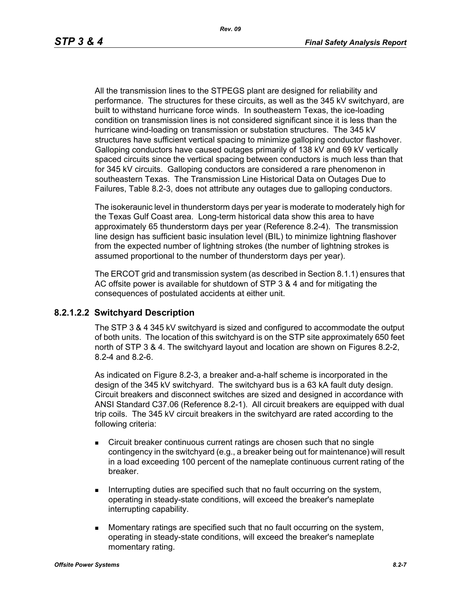All the transmission lines to the STPEGS plant are designed for reliability and performance. The structures for these circuits, as well as the 345 kV switchyard, are built to withstand hurricane force winds. In southeastern Texas, the ice-loading condition on transmission lines is not considered significant since it is less than the hurricane wind-loading on transmission or substation structures. The 345 kV structures have sufficient vertical spacing to minimize galloping conductor flashover. Galloping conductors have caused outages primarily of 138 kV and 69 kV vertically spaced circuits since the vertical spacing between conductors is much less than that for 345 kV circuits. Galloping conductors are considered a rare phenomenon in southeastern Texas. The Transmission Line Historical Data on Outages Due to Failures, Table 8.2-3, does not attribute any outages due to galloping conductors.

The isokeraunic level in thunderstorm days per year is moderate to moderately high for the Texas Gulf Coast area. Long-term historical data show this area to have approximately 65 thunderstorm days per year (Reference 8.2-4). The transmission line design has sufficient basic insulation level (BIL) to minimize lightning flashover from the expected number of lightning strokes (the number of lightning strokes is assumed proportional to the number of thunderstorm days per year).

The ERCOT grid and transmission system (as described in Section 8.1.1) ensures that AC offsite power is available for shutdown of STP 3 & 4 and for mitigating the consequences of postulated accidents at either unit.

### **8.2.1.2.2 Switchyard Description**

The STP 3 & 4 345 kV switchyard is sized and configured to accommodate the output of both units. The location of this switchyard is on the STP site approximately 650 feet north of STP 3 & 4. The switchyard layout and location are shown on Figures 8.2-2, 8.2-4 and 8.2-6.

As indicated on Figure 8.2-3, a breaker and-a-half scheme is incorporated in the design of the 345 kV switchyard. The switchyard bus is a 63 kA fault duty design. Circuit breakers and disconnect switches are sized and designed in accordance with ANSI Standard C37.06 (Reference 8.2-1). All circuit breakers are equipped with dual trip coils. The 345 kV circuit breakers in the switchyard are rated according to the following criteria:

- Circuit breaker continuous current ratings are chosen such that no single contingency in the switchyard (e.g., a breaker being out for maintenance) will result in a load exceeding 100 percent of the nameplate continuous current rating of the breaker.
- Interrupting duties are specified such that no fault occurring on the system, operating in steady-state conditions, will exceed the breaker's nameplate interrupting capability.
- **Momentary ratings are specified such that no fault occurring on the system,** operating in steady-state conditions, will exceed the breaker's nameplate momentary rating.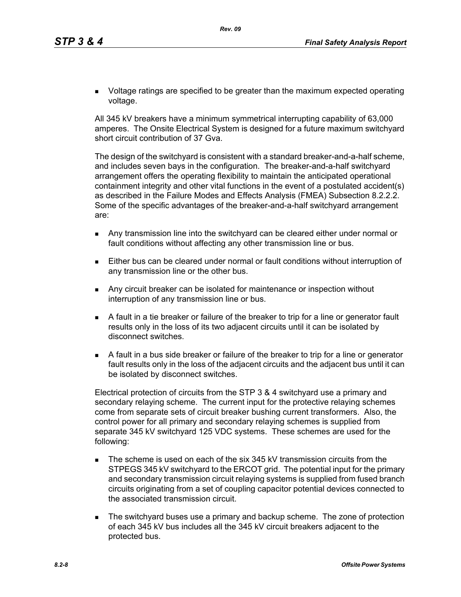**DED** Voltage ratings are specified to be greater than the maximum expected operating voltage.

All 345 kV breakers have a minimum symmetrical interrupting capability of 63,000 amperes. The Onsite Electrical System is designed for a future maximum switchyard short circuit contribution of 37 Gva.

The design of the switchyard is consistent with a standard breaker-and-a-half scheme, and includes seven bays in the configuration. The breaker-and-a-half switchyard arrangement offers the operating flexibility to maintain the anticipated operational containment integrity and other vital functions in the event of a postulated accident(s) as described in the Failure Modes and Effects Analysis (FMEA) Subsection 8.2.2.2. Some of the specific advantages of the breaker-and-a-half switchyard arrangement are:

- Any transmission line into the switchyard can be cleared either under normal or fault conditions without affecting any other transmission line or bus.
- Either bus can be cleared under normal or fault conditions without interruption of any transmission line or the other bus.
- **Any circuit breaker can be isolated for maintenance or inspection without** interruption of any transmission line or bus.
- A fault in a tie breaker or failure of the breaker to trip for a line or generator fault results only in the loss of its two adjacent circuits until it can be isolated by disconnect switches.
- A fault in a bus side breaker or failure of the breaker to trip for a line or generator fault results only in the loss of the adjacent circuits and the adjacent bus until it can be isolated by disconnect switches.

Electrical protection of circuits from the STP 3 & 4 switchyard use a primary and secondary relaying scheme. The current input for the protective relaying schemes come from separate sets of circuit breaker bushing current transformers. Also, the control power for all primary and secondary relaying schemes is supplied from separate 345 kV switchyard 125 VDC systems. These schemes are used for the following:

- The scheme is used on each of the six 345 kV transmission circuits from the STPEGS 345 kV switchyard to the ERCOT grid. The potential input for the primary and secondary transmission circuit relaying systems is supplied from fused branch circuits originating from a set of coupling capacitor potential devices connected to the associated transmission circuit.
- **The switchyard buses use a primary and backup scheme. The zone of protection** of each 345 kV bus includes all the 345 kV circuit breakers adjacent to the protected bus.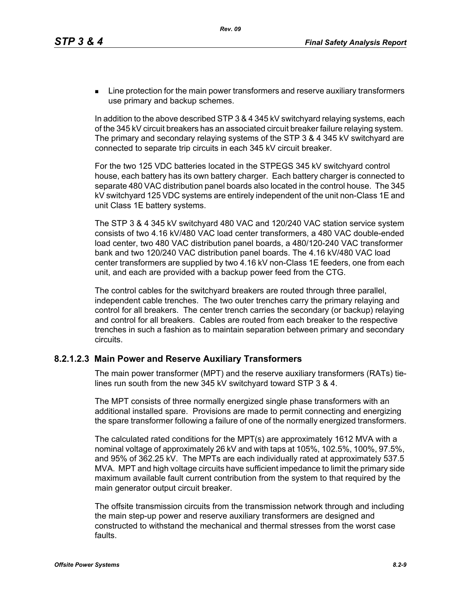**EXECT** Line protection for the main power transformers and reserve auxiliary transformers use primary and backup schemes.

In addition to the above described STP 3 & 4 345 kV switchyard relaying systems, each of the 345 kV circuit breakers has an associated circuit breaker failure relaying system. The primary and secondary relaying systems of the STP 3 & 4 345 kV switchyard are connected to separate trip circuits in each 345 kV circuit breaker.

For the two 125 VDC batteries located in the STPEGS 345 kV switchyard control house, each battery has its own battery charger. Each battery charger is connected to separate 480 VAC distribution panel boards also located in the control house. The 345 kV switchyard 125 VDC systems are entirely independent of the unit non-Class 1E and unit Class 1E battery systems.

The STP 3 & 4 345 kV switchyard 480 VAC and 120/240 VAC station service system consists of two 4.16 kV/480 VAC load center transformers, a 480 VAC double-ended load center, two 480 VAC distribution panel boards, a 480/120-240 VAC transformer bank and two 120/240 VAC distribution panel boards. The 4.16 kV/480 VAC load center transformers are supplied by two 4.16 kV non-Class 1E feeders, one from each unit, and each are provided with a backup power feed from the CTG.

The control cables for the switchyard breakers are routed through three parallel, independent cable trenches. The two outer trenches carry the primary relaying and control for all breakers. The center trench carries the secondary (or backup) relaying and control for all breakers. Cables are routed from each breaker to the respective trenches in such a fashion as to maintain separation between primary and secondary circuits.

# **8.2.1.2.3 Main Power and Reserve Auxiliary Transformers**

The main power transformer (MPT) and the reserve auxiliary transformers (RATs) tielines run south from the new 345 kV switchyard toward STP 3 & 4.

The MPT consists of three normally energized single phase transformers with an additional installed spare. Provisions are made to permit connecting and energizing the spare transformer following a failure of one of the normally energized transformers.

The calculated rated conditions for the MPT(s) are approximately 1612 MVA with a nominal voltage of approximately 26 kV and with taps at 105%, 102.5%, 100%, 97.5%, and 95% of 362.25 kV. The MPTs are each individually rated at approximately 537.5 MVA. MPT and high voltage circuits have sufficient impedance to limit the primary side maximum available fault current contribution from the system to that required by the main generator output circuit breaker.

The offsite transmission circuits from the transmission network through and including the main step-up power and reserve auxiliary transformers are designed and constructed to withstand the mechanical and thermal stresses from the worst case faults.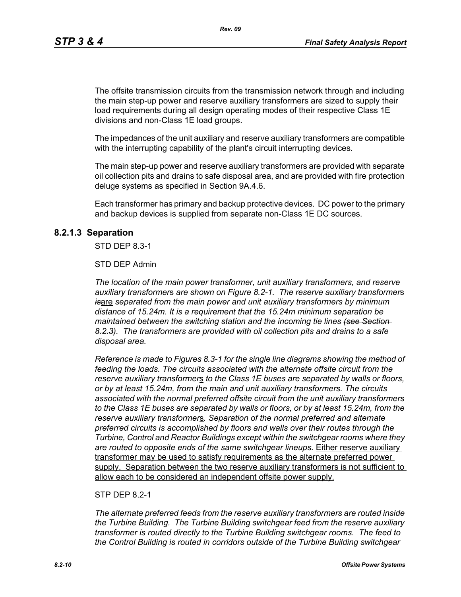The offsite transmission circuits from the transmission network through and including the main step-up power and reserve auxiliary transformers are sized to supply their load requirements during all design operating modes of their respective Class 1E divisions and non-Class 1E load groups.

The impedances of the unit auxiliary and reserve auxiliary transformers are compatible with the interrupting capability of the plant's circuit interrupting devices.

The main step-up power and reserve auxiliary transformers are provided with separate oil collection pits and drains to safe disposal area, and are provided with fire protection deluge systems as specified in Section 9A.4.6.

Each transformer has primary and backup protective devices. DC power to the primary and backup devices is supplied from separate non-Class 1E DC sources.

#### **8.2.1.3 Separation**

STD DEP 8.3-1

#### STD DEP Admin

*The location of the main power transformer, unit auxiliary transformers, and reserve auxiliary transformer*s *are shown on Figure 8.2-1. The reserve auxiliary transformer*s *is*are *separated from the main power and unit auxiliary transformers by minimum distance of 15.24m. It is a requirement that the 15.24m minimum separation be maintained between the switching station and the incoming tie lines (see Section 8.2.3). The transformers are provided with oil collection pits and drains to a safe disposal area.*

*Reference is made to Figures 8.3-1 for the single line diagrams showing the method of feeding the loads. The circuits associated with the alternate offsite circuit from the reserve auxiliary transformer*s *to the Class 1E buses are separated by walls or floors, or by at least 15.24m, from the main and unit auxiliary transformers. The circuits associated with the normal preferred offsite circuit from the unit auxiliary transformers to the Class 1E buses are separated by walls or floors, or by at least 15.24m, from the reserve auxiliary transformer*s*. Separation of the normal preferred and alternate preferred circuits is accomplished by floors and walls over their routes through the Turbine, Control and Reactor Buildings except within the switchgear rooms where they are routed to opposite ends of the same switchgear lineups.* Either reserve auxiliary transformer may be used to satisfy requirements as the alternate preferred power supply. Separation between the two reserve auxiliary transformers is not sufficient to allow each to be considered an independent offsite power supply.

#### STP DFP 8 2-1

*The alternate preferred feeds from the reserve auxiliary transformers are routed inside the Turbine Building. The Turbine Building switchgear feed from the reserve auxiliary transformer is routed directly to the Turbine Building switchgear rooms. The feed to the Control Building is routed in corridors outside of the Turbine Building switchgear*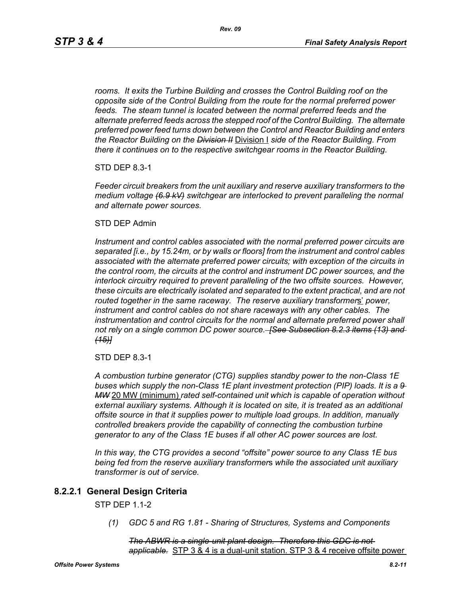*rooms. It exits the Turbine Building and crosses the Control Building roof on the opposite side of the Control Building from the route for the normal preferred power feeds. The steam tunnel is located between the normal preferred feeds and the alternate preferred feeds across the stepped roof of the Control Building. The alternate preferred power feed turns down between the Control and Reactor Building and enters the Reactor Building on the Division II* Division I *side of the Reactor Building. From there it continues on to the respective switchgear rooms in the Reactor Building.*

STD DEP 8.3-1

*Feeder circuit breakers from the unit auxiliary and reserve auxiliary transformers to the medium voltage (6.9 kV) switchgear are interlocked to prevent paralleling the normal and alternate power sources.*

#### STD DEP Admin

*Instrument and control cables associated with the normal preferred power circuits are separated [i.e., by 15.24m, or by walls or floors] from the instrument and control cables associated with the alternate preferred power circuits; with exception of the circuits in the control room, the circuits at the control and instrument DC power sources, and the interlock circuitry required to prevent paralleling of the two offsite sources. However, these circuits are electrically isolated and separated to the extent practical, and are not routed together in the same raceway. The reserve auxiliary transformer*s' *power, instrument and control cables do not share raceways with any other cables. The*  instrumentation and control circuits for the normal and alternate preferred power shall *not rely on a single common DC power source. [See Subsection 8.2.3 items (13) and (15)]*

STD DEP 8.3-1

*A combustion turbine generator (CTG) supplies standby power to the non-Class 1E buses which supply the non-Class 1E plant investment protection (PIP) loads. It is a 9 MW* 20 MW (minimum) *rated self-contained unit which is capable of operation without external auxiliary systems. Although it is located on site, it is treated as an additional offsite source in that it supplies power to multiple load groups. In addition, manually controlled breakers provide the capability of connecting the combustion turbine generator to any of the Class 1E buses if all other AC power sources are lost.*

*In this way, the CTG provides a second "offsite" power source to any Class 1E bus being fed from the reserve auxiliary transformer*s *while the associated unit auxiliary transformer is out of service.*

### **8.2.2.1 General Design Criteria**

STP DEP 1.1-2

*(1) GDC 5 and RG 1.81 - Sharing of Structures, Systems and Components*

*The ABWR is a single-unit plant design. Therefore this GDC is not applicable.* STP 3 & 4 is a dual-unit station. STP 3 & 4 receive offsite power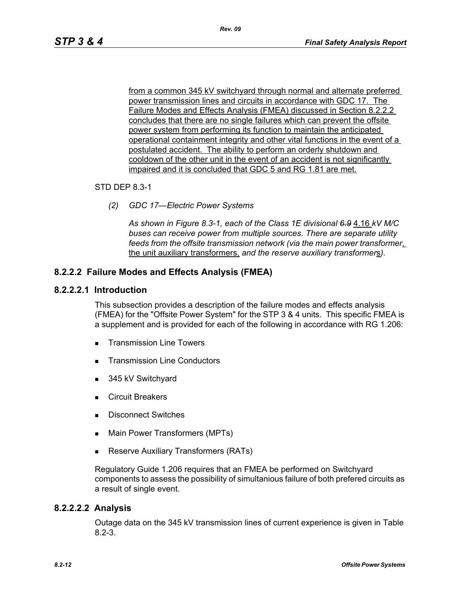from a common 345 kV switchyard through normal and alternate preferred power transmission lines and circuits in accordance with GDC 17. The Failure Modes and Effects Analysis (FMEA) discussed in Section 8.2.2.2 concludes that there are no single failures which can prevent the offsite power system from performing its function to maintain the anticipated operational containment integrity and other vital functions in the event of a postulated accident. The ability to perform an orderly shutdown and cooldown of the other unit in the event of an accident is not significantly impaired and it is concluded that GDC 5 and RG 1.81 are met.

#### STD DEP 8.3-1

*(2) GDC 17—Electric Power Systems*

*As shown in Figure 8.3-1, each of the Class 1E divisional 6.9* 4.16 *kV M/C buses can receive power from multiple sources. There are separate utility feeds from the offsite transmission network (via the main power transformer*, the unit auxiliary transformers, *and the reserve auxiliary transformer*s*).*

### **8.2.2.2 Failure Modes and Effects Analysis (FMEA)**

#### **8.2.2.2.1 Introduction**

This subsection provides a description of the failure modes and effects analysis (FMEA) for the "Offsite Power System" for the STP 3 & 4 units. This specific FMEA is a supplement and is provided for each of the following in accordance with RG 1.206:

- **Transmission Line Towers**
- Transmission Line Conductors
- 345 kV Switchyard
- **Exercuit Breakers**
- **Disconnect Switches**
- **Main Power Transformers (MPTs)**
- **Reserve Auxiliary Transformers (RATs)**

Regulatory Guide 1.206 requires that an FMEA be performed on Switchyard components to assess the possibility of simultanious failure of both prefered circuits as a result of single event.

### **8.2.2.2.2 Analysis**

Outage data on the 345 kV transmission lines of current experience is given in Table 8.2-3.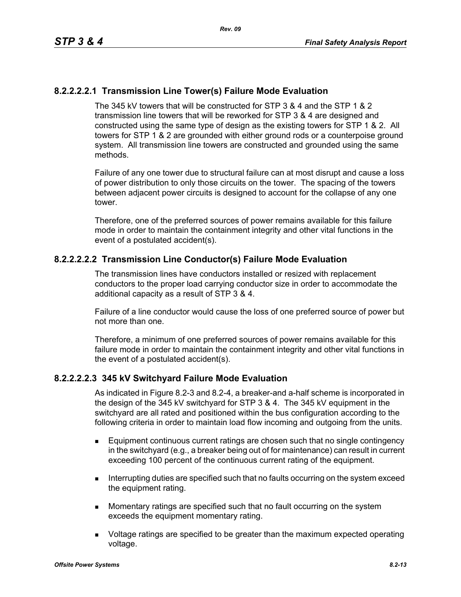# **8.2.2.2.2.1 Transmission Line Tower(s) Failure Mode Evaluation**

The 345 kV towers that will be constructed for STP 3 & 4 and the STP 1 & 2 transmission line towers that will be reworked for STP 3 & 4 are designed and constructed using the same type of design as the existing towers for STP 1 & 2. All towers for STP 1 & 2 are grounded with either ground rods or a counterpoise ground system. All transmission line towers are constructed and grounded using the same methods.

Failure of any one tower due to structural failure can at most disrupt and cause a loss of power distribution to only those circuits on the tower. The spacing of the towers between adjacent power circuits is designed to account for the collapse of any one tower.

Therefore, one of the preferred sources of power remains available for this failure mode in order to maintain the containment integrity and other vital functions in the event of a postulated accident(s).

# **8.2.2.2.2.2 Transmission Line Conductor(s) Failure Mode Evaluation**

The transmission lines have conductors installed or resized with replacement conductors to the proper load carrying conductor size in order to accommodate the additional capacity as a result of STP 3 & 4.

Failure of a line conductor would cause the loss of one preferred source of power but not more than one.

Therefore, a minimum of one preferred sources of power remains available for this failure mode in order to maintain the containment integrity and other vital functions in the event of a postulated accident(s).

### **8.2.2.2.2.3 345 kV Switchyard Failure Mode Evaluation**

As indicated in Figure 8.2-3 and 8.2-4, a breaker-and a-half scheme is incorporated in the design of the 345 kV switchyard for STP 3 & 4. The 345 kV equipment in the switchyard are all rated and positioned within the bus configuration according to the following criteria in order to maintain load flow incoming and outgoing from the units.

- Equipment continuous current ratings are chosen such that no single contingency in the switchyard (e.g., a breaker being out of for maintenance) can result in current exceeding 100 percent of the continuous current rating of the equipment.
- **Interrupting duties are specified such that no faults occurring on the system exceed** the equipment rating.
- **Momentary ratings are specified such that no fault occurring on the system** exceeds the equipment momentary rating.
- **DED** Voltage ratings are specified to be greater than the maximum expected operating voltage.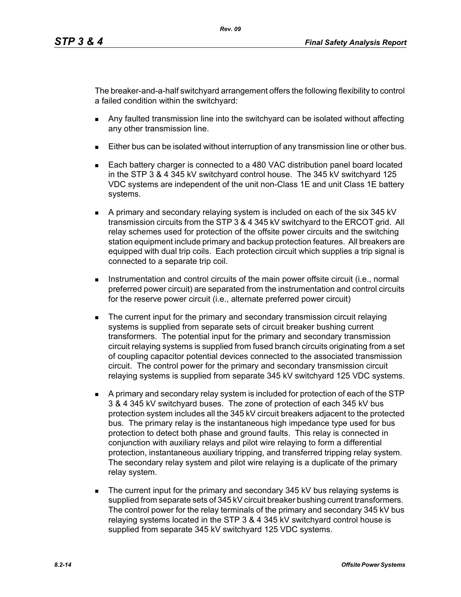The breaker-and-a-half switchyard arrangement offers the following flexibility to control a failed condition within the switchyard:

- Any faulted transmission line into the switchyard can be isolated without affecting any other transmission line.
- Either bus can be isolated without interruption of any transmission line or other bus.
- Each battery charger is connected to a 480 VAC distribution panel board located in the STP 3 & 4 345 kV switchyard control house. The 345 kV switchyard 125 VDC systems are independent of the unit non-Class 1E and unit Class 1E battery systems.
- A primary and secondary relaying system is included on each of the six 345 kV transmission circuits from the STP 3 & 4 345 kV switchyard to the ERCOT grid. All relay schemes used for protection of the offsite power circuits and the switching station equipment include primary and backup protection features. All breakers are equipped with dual trip coils. Each protection circuit which supplies a trip signal is connected to a separate trip coil.
- **Instrumentation and control circuits of the main power offsite circuit (i.e., normal** preferred power circuit) are separated from the instrumentation and control circuits for the reserve power circuit (i.e., alternate preferred power circuit)
- **The current input for the primary and secondary transmission circuit relaying** systems is supplied from separate sets of circuit breaker bushing current transformers. The potential input for the primary and secondary transmission circuit relaying systems is supplied from fused branch circuits originating from a set of coupling capacitor potential devices connected to the associated transmission circuit. The control power for the primary and secondary transmission circuit relaying systems is supplied from separate 345 kV switchyard 125 VDC systems.
- A primary and secondary relay system is included for protection of each of the STP 3 & 4 345 kV switchyard buses. The zone of protection of each 345 kV bus protection system includes all the 345 kV circuit breakers adjacent to the protected bus. The primary relay is the instantaneous high impedance type used for bus protection to detect both phase and ground faults. This relay is connected in conjunction with auxiliary relays and pilot wire relaying to form a differential protection, instantaneous auxiliary tripping, and transferred tripping relay system. The secondary relay system and pilot wire relaying is a duplicate of the primary relay system.
- The current input for the primary and secondary 345 kV bus relaying systems is supplied from separate sets of 345 kV circuit breaker bushing current transformers. The control power for the relay terminals of the primary and secondary 345 kV bus relaying systems located in the STP 3 & 4 345 kV switchyard control house is supplied from separate 345 kV switchyard 125 VDC systems.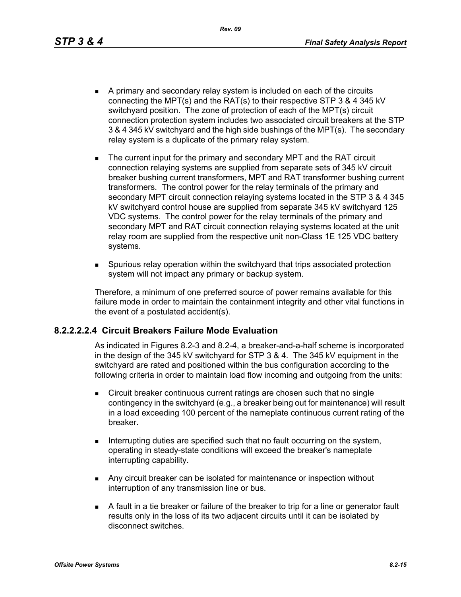*Rev. 09*

- A primary and secondary relay system is included on each of the circuits connecting the MPT(s) and the RAT(s) to their respective STP 3 & 4 345 kV switchyard position. The zone of protection of each of the MPT(s) circuit connection protection system includes two associated circuit breakers at the STP 3 & 4 345 kV switchyard and the high side bushings of the MPT(s). The secondary relay system is a duplicate of the primary relay system.
- The current input for the primary and secondary MPT and the RAT circuit connection relaying systems are supplied from separate sets of 345 kV circuit breaker bushing current transformers, MPT and RAT transformer bushing current transformers. The control power for the relay terminals of the primary and secondary MPT circuit connection relaying systems located in the STP 3 & 4 345 kV switchyard control house are supplied from separate 345 kV switchyard 125 VDC systems. The control power for the relay terminals of the primary and secondary MPT and RAT circuit connection relaying systems located at the unit relay room are supplied from the respective unit non-Class 1E 125 VDC battery systems.
- Spurious relay operation within the switchyard that trips associated protection system will not impact any primary or backup system.

Therefore, a minimum of one preferred source of power remains available for this failure mode in order to maintain the containment integrity and other vital functions in the event of a postulated accident(s).

### **8.2.2.2.2.4 Circuit Breakers Failure Mode Evaluation**

As indicated in Figures 8.2-3 and 8.2-4, a breaker-and-a-half scheme is incorporated in the design of the 345 kV switchyard for STP 3 & 4. The 345 kV equipment in the switchyard are rated and positioned within the bus configuration according to the following criteria in order to maintain load flow incoming and outgoing from the units:

- **EXECT** Circuit breaker continuous current ratings are chosen such that no single contingency in the switchyard (e.g., a breaker being out for maintenance) will result in a load exceeding 100 percent of the nameplate continuous current rating of the breaker.
- Interrupting duties are specified such that no fault occurring on the system, operating in steady-state conditions will exceed the breaker's nameplate interrupting capability.
- **Any circuit breaker can be isolated for maintenance or inspection without** interruption of any transmission line or bus.
- A fault in a tie breaker or failure of the breaker to trip for a line or generator fault results only in the loss of its two adjacent circuits until it can be isolated by disconnect switches.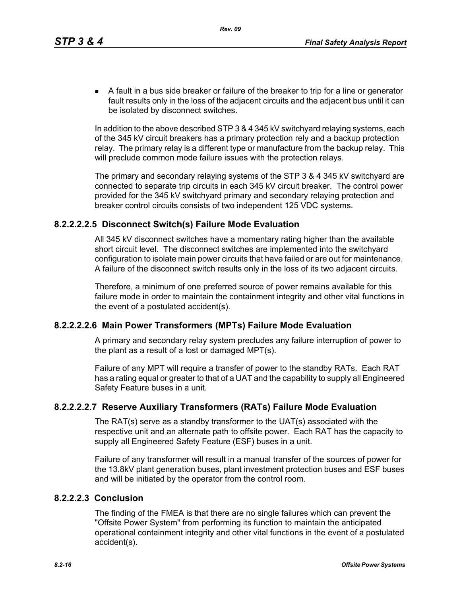A fault in a bus side breaker or failure of the breaker to trip for a line or generator fault results only in the loss of the adjacent circuits and the adjacent bus until it can be isolated by disconnect switches.

In addition to the above described STP 3 & 4 345 kV switchyard relaying systems, each of the 345 kV circuit breakers has a primary protection rely and a backup protection relay. The primary relay is a different type or manufacture from the backup relay. This will preclude common mode failure issues with the protection relays.

The primary and secondary relaying systems of the STP 3 & 4 345 kV switchyard are connected to separate trip circuits in each 345 kV circuit breaker. The control power provided for the 345 kV switchyard primary and secondary relaying protection and breaker control circuits consists of two independent 125 VDC systems.

# **8.2.2.2.2.5 Disconnect Switch(s) Failure Mode Evaluation**

All 345 kV disconnect switches have a momentary rating higher than the available short circuit level. The disconnect switches are implemented into the switchyard configuration to isolate main power circuits that have failed or are out for maintenance. A failure of the disconnect switch results only in the loss of its two adjacent circuits.

Therefore, a minimum of one preferred source of power remains available for this failure mode in order to maintain the containment integrity and other vital functions in the event of a postulated accident(s).

# **8.2.2.2.2.6 Main Power Transformers (MPTs) Failure Mode Evaluation**

A primary and secondary relay system precludes any failure interruption of power to the plant as a result of a lost or damaged MPT(s).

Failure of any MPT will require a transfer of power to the standby RATs. Each RAT has a rating equal or greater to that of a UAT and the capability to supply all Engineered Safety Feature buses in a unit.

# **8.2.2.2.2.7 Reserve Auxiliary Transformers (RATs) Failure Mode Evaluation**

The RAT(s) serve as a standby transformer to the UAT(s) associated with the respective unit and an alternate path to offsite power. Each RAT has the capacity to supply all Engineered Safety Feature (ESF) buses in a unit.

Failure of any transformer will result in a manual transfer of the sources of power for the 13.8kV plant generation buses, plant investment protection buses and ESF buses and will be initiated by the operator from the control room.

### **8.2.2.2.3 Conclusion**

The finding of the FMEA is that there are no single failures which can prevent the "Offsite Power System" from performing its function to maintain the anticipated operational containment integrity and other vital functions in the event of a postulated accident(s).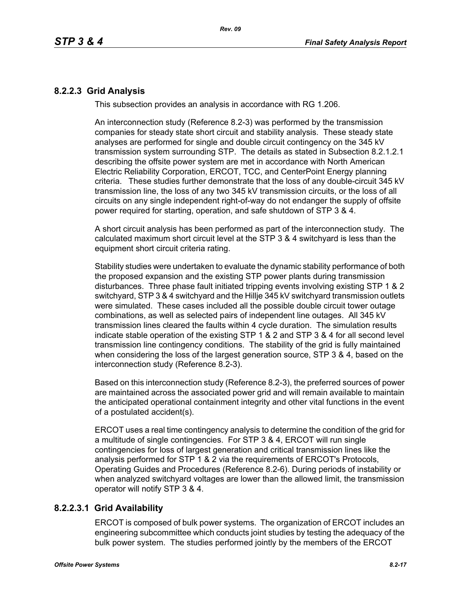# **8.2.2.3 Grid Analysis**

This subsection provides an analysis in accordance with RG 1.206.

An interconnection study (Reference 8.2-3) was performed by the transmission companies for steady state short circuit and stability analysis. These steady state analyses are performed for single and double circuit contingency on the 345 kV transmission system surrounding STP. The details as stated in Subsection 8.2.1.2.1 describing the offsite power system are met in accordance with North American Electric Reliability Corporation, ERCOT, TCC, and CenterPoint Energy planning criteria. These studies further demonstrate that the loss of any double-circuit 345 kV transmission line, the loss of any two 345 kV transmission circuits, or the loss of all circuits on any single independent right-of-way do not endanger the supply of offsite power required for starting, operation, and safe shutdown of STP 3 & 4.

A short circuit analysis has been performed as part of the interconnection study. The calculated maximum short circuit level at the STP 3 & 4 switchyard is less than the equipment short circuit criteria rating.

Stability studies were undertaken to evaluate the dynamic stability performance of both the proposed expansion and the existing STP power plants during transmission disturbances. Three phase fault initiated tripping events involving existing STP 1 & 2 switchyard, STP 3 & 4 switchyard and the Hillje 345 kV switchyard transmission outlets were simulated. These cases included all the possible double circuit tower outage combinations, as well as selected pairs of independent line outages. All 345 kV transmission lines cleared the faults within 4 cycle duration. The simulation results indicate stable operation of the existing STP 1 & 2 and STP 3 & 4 for all second level transmission line contingency conditions. The stability of the grid is fully maintained when considering the loss of the largest generation source, STP 3 & 4, based on the interconnection study (Reference 8.2-3).

Based on this interconnection study (Reference 8.2-3), the preferred sources of power are maintained across the associated power grid and will remain available to maintain the anticipated operational containment integrity and other vital functions in the event of a postulated accident(s).

ERCOT uses a real time contingency analysis to determine the condition of the grid for a multitude of single contingencies. For STP 3 & 4, ERCOT will run single contingencies for loss of largest generation and critical transmission lines like the analysis performed for STP 1 & 2 via the requirements of ERCOT's Protocols, Operating Guides and Procedures (Reference 8.2-6). During periods of instability or when analyzed switchyard voltages are lower than the allowed limit, the transmission operator will notify STP 3 & 4.

# **8.2.2.3.1 Grid Availability**

ERCOT is composed of bulk power systems. The organization of ERCOT includes an engineering subcommittee which conducts joint studies by testing the adequacy of the bulk power system. The studies performed jointly by the members of the ERCOT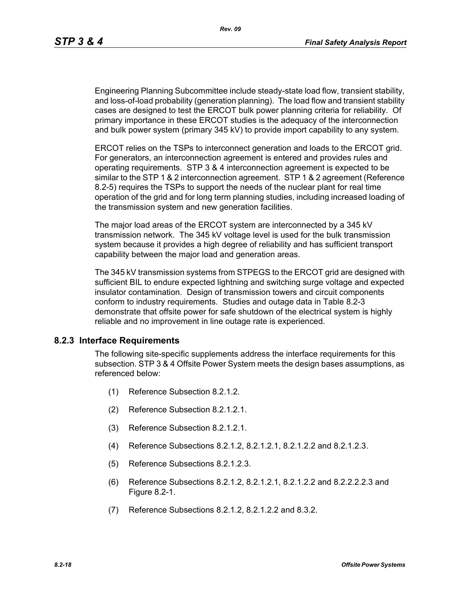Engineering Planning Subcommittee include steady-state load flow, transient stability, and loss-of-load probability (generation planning). The load flow and transient stability cases are designed to test the ERCOT bulk power planning criteria for reliability. Of primary importance in these ERCOT studies is the adequacy of the interconnection and bulk power system (primary 345 kV) to provide import capability to any system.

ERCOT relies on the TSPs to interconnect generation and loads to the ERCOT grid. For generators, an interconnection agreement is entered and provides rules and operating requirements. STP 3 & 4 interconnection agreement is expected to be similar to the STP 1 & 2 interconnection agreement. STP 1 & 2 agreement (Reference 8.2-5) requires the TSPs to support the needs of the nuclear plant for real time operation of the grid and for long term planning studies, including increased loading of the transmission system and new generation facilities.

The major load areas of the ERCOT system are interconnected by a 345 kV transmission network. The 345 kV voltage level is used for the bulk transmission system because it provides a high degree of reliability and has sufficient transport capability between the major load and generation areas.

The 345 kV transmission systems from STPEGS to the ERCOT grid are designed with sufficient BIL to endure expected lightning and switching surge voltage and expected insulator contamination. Design of transmission towers and circuit components conform to industry requirements. Studies and outage data in Table 8.2-3 demonstrate that offsite power for safe shutdown of the electrical system is highly reliable and no improvement in line outage rate is experienced.

### **8.2.3 Interface Requirements**

The following site-specific supplements address the interface requirements for this subsection. STP 3 & 4 Offsite Power System meets the design bases assumptions, as referenced below:

- (1) Reference Subsection 8.2.1.2.
- (2) Reference Subsection 8.2.1.2.1.
- (3) Reference Subsection 8.2.1.2.1.
- (4) Reference Subsections 8.2.1.2, 8.2.1.2.1, 8.2.1.2.2 and 8.2.1.2.3.
- (5) Reference Subsections 8.2.1.2.3.
- (6) Reference Subsections 8.2.1.2, 8.2.1.2.1, 8.2.1.2.2 and 8.2.2.2.2.3 and Figure 8.2-1.
- (7) Reference Subsections 8.2.1.2, 8.2.1.2.2 and 8.3.2.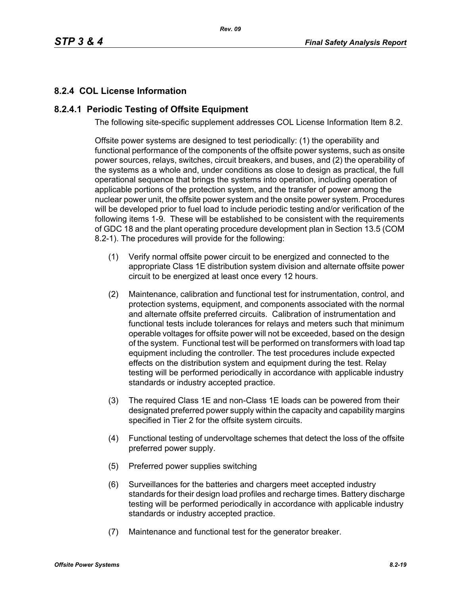# **8.2.4 COL License Information**

# **8.2.4.1 Periodic Testing of Offsite Equipment**

The following site-specific supplement addresses COL License Information Item 8.2.

Offsite power systems are designed to test periodically: (1) the operability and functional performance of the components of the offsite power systems, such as onsite power sources, relays, switches, circuit breakers, and buses, and (2) the operability of the systems as a whole and, under conditions as close to design as practical, the full operational sequence that brings the systems into operation, including operation of applicable portions of the protection system, and the transfer of power among the nuclear power unit, the offsite power system and the onsite power system. Procedures will be developed prior to fuel load to include periodic testing and/or verification of the following items 1-9. These will be established to be consistent with the requirements of GDC 18 and the plant operating procedure development plan in Section 13.5 (COM 8.2-1). The procedures will provide for the following:

- (1) Verify normal offsite power circuit to be energized and connected to the appropriate Class 1E distribution system division and alternate offsite power circuit to be energized at least once every 12 hours.
- (2) Maintenance, calibration and functional test for instrumentation, control, and protection systems, equipment, and components associated with the normal and alternate offsite preferred circuits. Calibration of instrumentation and functional tests include tolerances for relays and meters such that minimum operable voltages for offsite power will not be exceeded, based on the design of the system. Functional test will be performed on transformers with load tap equipment including the controller. The test procedures include expected effects on the distribution system and equipment during the test. Relay testing will be performed periodically in accordance with applicable industry standards or industry accepted practice.
- (3) The required Class 1E and non-Class 1E loads can be powered from their designated preferred power supply within the capacity and capability margins specified in Tier 2 for the offsite system circuits.
- (4) Functional testing of undervoltage schemes that detect the loss of the offsite preferred power supply.
- (5) Preferred power supplies switching
- (6) Surveillances for the batteries and chargers meet accepted industry standards for their design load profiles and recharge times. Battery discharge testing will be performed periodically in accordance with applicable industry standards or industry accepted practice.
- (7) Maintenance and functional test for the generator breaker.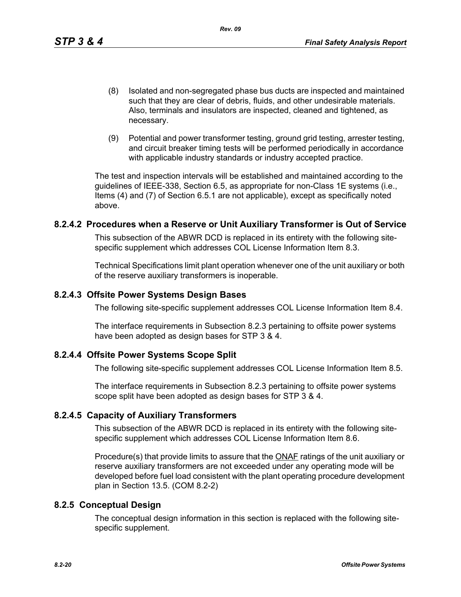- (8) Isolated and non-segregated phase bus ducts are inspected and maintained such that they are clear of debris, fluids, and other undesirable materials. Also, terminals and insulators are inspected, cleaned and tightened, as necessary.
- (9) Potential and power transformer testing, ground grid testing, arrester testing, and circuit breaker timing tests will be performed periodically in accordance with applicable industry standards or industry accepted practice.

The test and inspection intervals will be established and maintained according to the guidelines of IEEE-338, Section 6.5, as appropriate for non-Class 1E systems (i.e., Items (4) and (7) of Section 6.5.1 are not applicable), except as specifically noted above.

### **8.2.4.2 Procedures when a Reserve or Unit Auxiliary Transformer is Out of Service**

This subsection of the ABWR DCD is replaced in its entirety with the following sitespecific supplement which addresses COL License Information Item 8.3.

Technical Specifications limit plant operation whenever one of the unit auxiliary or both of the reserve auxiliary transformers is inoperable.

# **8.2.4.3 Offsite Power Systems Design Bases**

The following site-specific supplement addresses COL License Information Item 8.4.

The interface requirements in Subsection 8.2.3 pertaining to offsite power systems have been adopted as design bases for STP 3 & 4.

# **8.2.4.4 Offsite Power Systems Scope Split**

The following site-specific supplement addresses COL License Information Item 8.5.

The interface requirements in Subsection 8.2.3 pertaining to offsite power systems scope split have been adopted as design bases for STP 3 & 4.

# **8.2.4.5 Capacity of Auxiliary Transformers**

This subsection of the ABWR DCD is replaced in its entirety with the following sitespecific supplement which addresses COL License Information Item 8.6.

Procedure(s) that provide limits to assure that the **ONAF** ratings of the unit auxiliary or reserve auxiliary transformers are not exceeded under any operating mode will be developed before fuel load consistent with the plant operating procedure development plan in Section 13.5. (COM 8.2-2)

# **8.2.5 Conceptual Design**

The conceptual design information in this section is replaced with the following sitespecific supplement.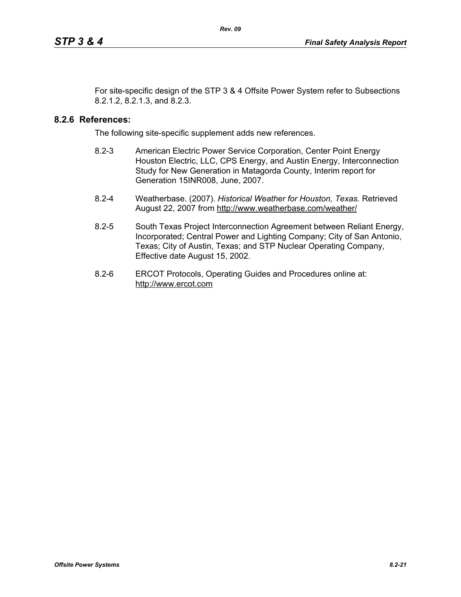For site-specific design of the STP 3 & 4 Offsite Power System refer to Subsections 8.2.1.2, 8.2.1.3, and 8.2.3.

### **8.2.6 References:**

The following site-specific supplement adds new references.

- 8.2-3 American Electric Power Service Corporation, Center Point Energy Houston Electric, LLC, CPS Energy, and Austin Energy, Interconnection Study for New Generation in Matagorda County, Interim report for Generation 15INR008, June, 2007.
- 8.2-4 Weatherbase. (2007). *Historical Weather for Houston, Texas.* Retrieved August 22, 2007 from http://www.weatherbase.com/weather/
- 8.2-5 South Texas Project Interconnection Agreement between Reliant Energy, Incorporated; Central Power and Lighting Company; City of San Antonio, Texas; City of Austin, Texas; and STP Nuclear Operating Company, Effective date August 15, 2002.
- 8.2-6 ERCOT Protocols, Operating Guides and Procedures online at: http://www.ercot.com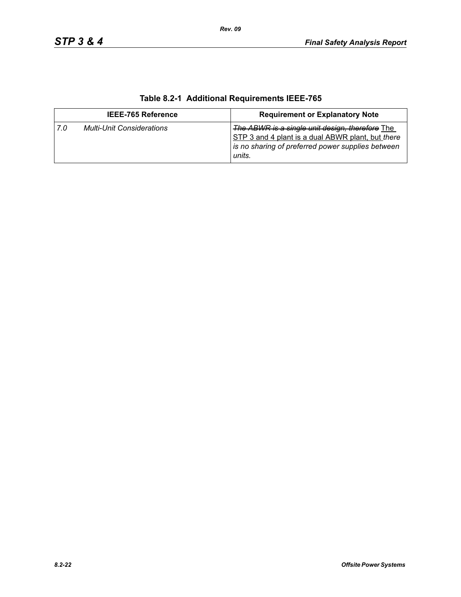| <b>IEEE-765 Reference</b> |                                  | <b>Requirement or Explanatory Note</b>                                                                                                                              |  |
|---------------------------|----------------------------------|---------------------------------------------------------------------------------------------------------------------------------------------------------------------|--|
| 7.0                       | <b>Multi-Unit Considerations</b> | The ABWR is a single unit design, therefore The<br>STP 3 and 4 plant is a dual ABWR plant, but there<br>is no sharing of preferred power supplies between<br>units. |  |

# **Table 8.2-1 Additional Requirements IEEE-765**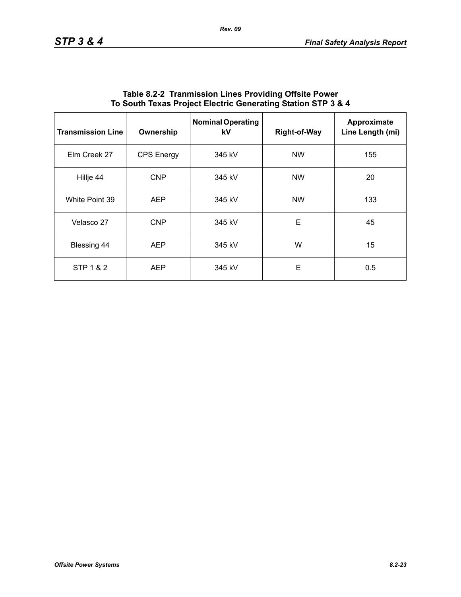| <b>Transmission Line</b> | Ownership         | <b>Nominal Operating</b><br>kV | <b>Right-of-Way</b> | Approximate<br>Line Length (mi) |
|--------------------------|-------------------|--------------------------------|---------------------|---------------------------------|
| Elm Creek 27             | <b>CPS Energy</b> | 345 kV                         | <b>NW</b>           | 155                             |
| Hillje 44                | <b>CNP</b>        | 345 kV                         | <b>NW</b>           | 20                              |
| White Point 39           | <b>AEP</b>        | 345 kV                         | <b>NW</b>           | 133                             |
| Velasco 27               | <b>CNP</b>        | 345 kV                         | E                   | 45                              |
| Blessing 44              | <b>AEP</b>        | 345 kV                         | W                   | 15                              |
| STP 1 & 2                | <b>AEP</b>        | 345 kV                         | E                   | 0.5                             |

### **Table 8.2-2 Tranmission Lines Providing Offsite Power To South Texas Project Electric Generating Station STP 3 & 4**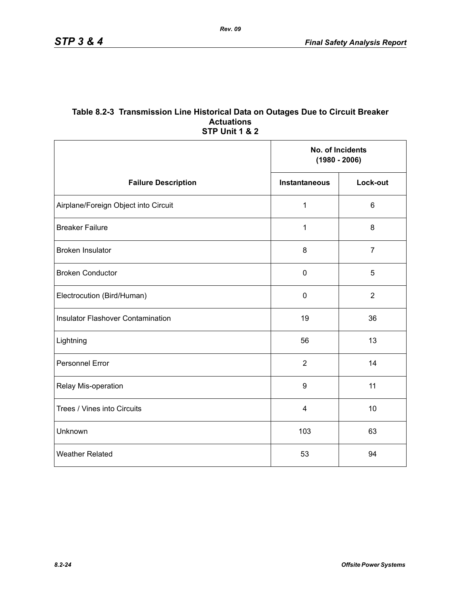#### **Table 8.2-3 Transmission Line Historical Data on Outages Due to Circuit Breaker Actuations STP Unit 1 & 2**

|                                          | No. of Incidents<br>$(1980 - 2006)$ |                |
|------------------------------------------|-------------------------------------|----------------|
| <b>Failure Description</b>               | <b>Instantaneous</b>                | Lock-out       |
| Airplane/Foreign Object into Circuit     | $\mathbf{1}$                        | $6\phantom{1}$ |
| <b>Breaker Failure</b>                   | 1                                   | 8              |
| <b>Broken Insulator</b>                  | 8                                   | $\overline{7}$ |
| <b>Broken Conductor</b>                  | $\mathbf 0$                         | 5              |
| Electrocution (Bird/Human)               | $\pmb{0}$                           | $\overline{2}$ |
| <b>Insulator Flashover Contamination</b> | 19                                  | 36             |
| Lightning                                | 56                                  | 13             |
| Personnel Error                          | $\overline{2}$                      | 14             |
| Relay Mis-operation                      | $\boldsymbol{9}$                    | 11             |
| Trees / Vines into Circuits              | $\overline{\mathbf{4}}$             | 10             |
| Unknown                                  | 103                                 | 63             |
| <b>Weather Related</b>                   | 53                                  | 94             |